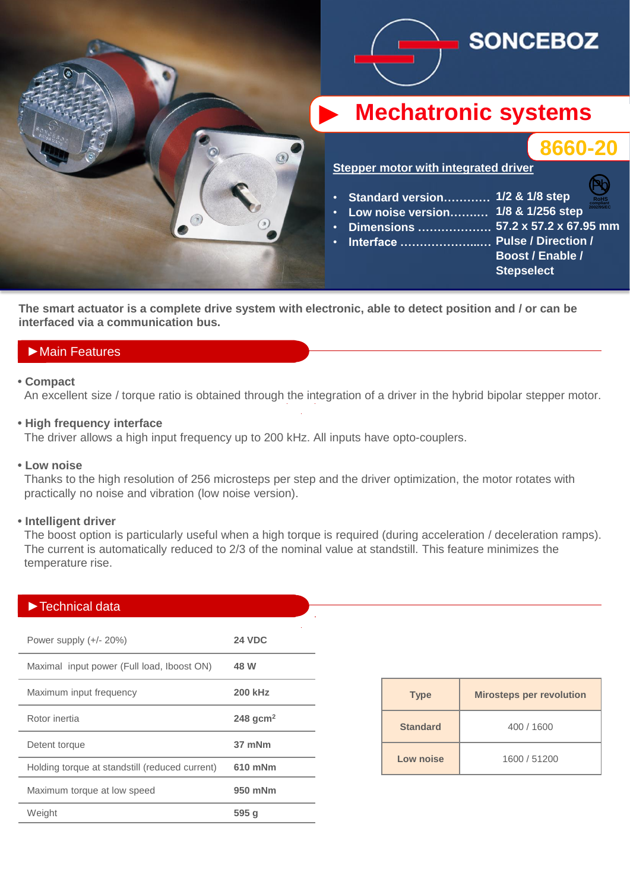

**The smart actuator is a complete drive system with electronic, able to detect position and / or can be interfaced via a communication bus.**

## ►Main Features

### **• Compact**

An excellent size / torque ratio is obtained through the integration of a driver in the hybrid bipolar stepper motor.

### **• High frequency interface**

The driver allows a high input frequency up to 200 kHz. All inputs have opto-couplers.

#### **• Low noise**

 Thanks to the high resolution of 256 microsteps per step and the driver optimization, the motor rotates with practically no noise and vibration (low noise version).

#### **• Intelligent driver**

 The boost option is particularly useful when a high torque is required (during acceleration / deceleration ramps). The current is automatically reduced to 2/3 of the nominal value at standstill. This feature minimizes the temperature rise.

### ►Technical data

| Power supply $(+/- 20%)$                       | <b>24 VDC</b>          |
|------------------------------------------------|------------------------|
| Maximal input power (Full load, Iboost ON)     | 48 W                   |
| Maximum input frequency                        | <b>200 kHz</b>         |
| Rotor inertia                                  | $248$ gcm <sup>2</sup> |
| Detent torque                                  | 37 mNm                 |
| Holding torque at standstill (reduced current) | 610 mNm                |
| Maximum torque at low speed                    | 950 mNm                |
| Weight                                         | 595 <sub>g</sub>       |

| <b>Type</b>     | <b>Mirosteps per revolution</b> |  |
|-----------------|---------------------------------|--|
| <b>Standard</b> | 400 / 1600                      |  |
| Low noise       | 1600 / 51200                    |  |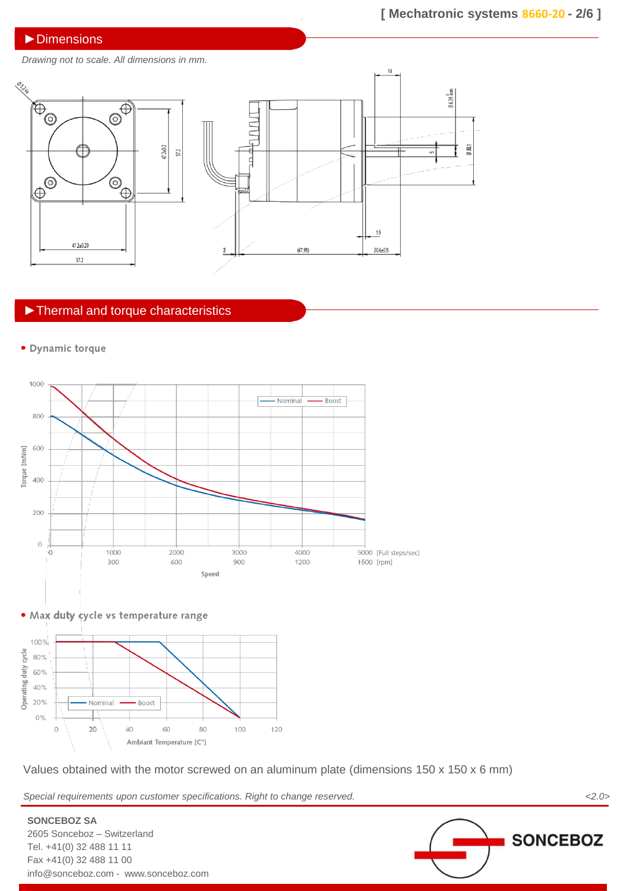### ▶**Dimensions**

*Drawing not to scale. All dimensions in mm.*



# ►Thermal and torque characteristics

· Dynamic torque







Values obtained with the motor screwed on an aluminum plate (dimensions 150 x 150 x 6 mm)

*Special requirements upon customer specifications. Right to change reserved. <2.0>*

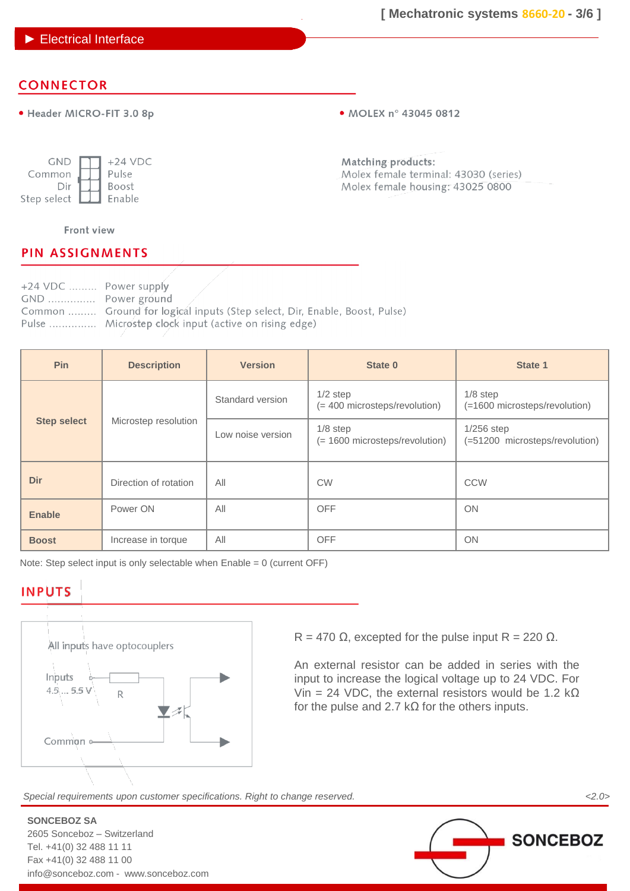### ► Electrical Interface

# **CONNECTOR**

· Header MICRO-FIT 3.0 8p

• MOLEX n° 43045 0812

| <b>GND</b>  | $+24$ VDC    |
|-------------|--------------|
| Common      | Pulse        |
| Dir         | <b>Boost</b> |
| Step select | Enable       |

Matching products: Molex female terminal: 43030 (series) Molex female housing: 43025 0800

### Front view

## **PIN ASSIGNMENTS**

| +24 VDC  Power supply |                                                                            |
|-----------------------|----------------------------------------------------------------------------|
| GND  Power ground     |                                                                            |
|                       | Common  Ground for logical inputs (Step select, Dir, Enable, Boost, Pulse) |
|                       | Pulse  Microstep clock input (active on rising edge)                       |

| <b>Pin</b>         | <b>Description</b>    | <b>Version</b>    | State 0                                      | State 1                                        |
|--------------------|-----------------------|-------------------|----------------------------------------------|------------------------------------------------|
|                    |                       | Standard version  | $1/2$ step<br>(= 400 microsteps/revolution)  | $1/8$ step<br>(=1600 microsteps/revolution)    |
| <b>Step select</b> | Microstep resolution  | Low noise version | $1/8$ step<br>(= 1600 microsteps/revolution) | $1/256$ step<br>(=51200 microsteps/revolution) |
| Dir                | Direction of rotation | All               | <b>CW</b>                                    | CCW                                            |
| <b>Enable</b>      | Power ON              | All               | <b>OFF</b>                                   | <b>ON</b>                                      |
| <b>Boost</b>       | Increase in torque    | All               | <b>OFF</b>                                   | <b>ON</b>                                      |

Note: Step select input is only selectable when Enable = 0 (current OFF)

## **INPUTS**

**SONCEBOZ SA**

2605 Sonceboz – Switzerland Tel. +41(0) 32 488 11 11 Fax +41(0) 32 488 11 00

info@sonceboz.com - www.sonceboz.com



R = 470  $\Omega$ , excepted for the pulse input R = 220  $\Omega$ .

An external resistor can be added in series with the input to increase the logical voltage up to 24 VDC. For Vin = 24 VDC, the external resistors would be 1.2 k $\Omega$ for the pulse and 2.7 k $\Omega$  for the others inputs.

*Special requirements upon customer specifications. Right to change reserved. <2.0>*

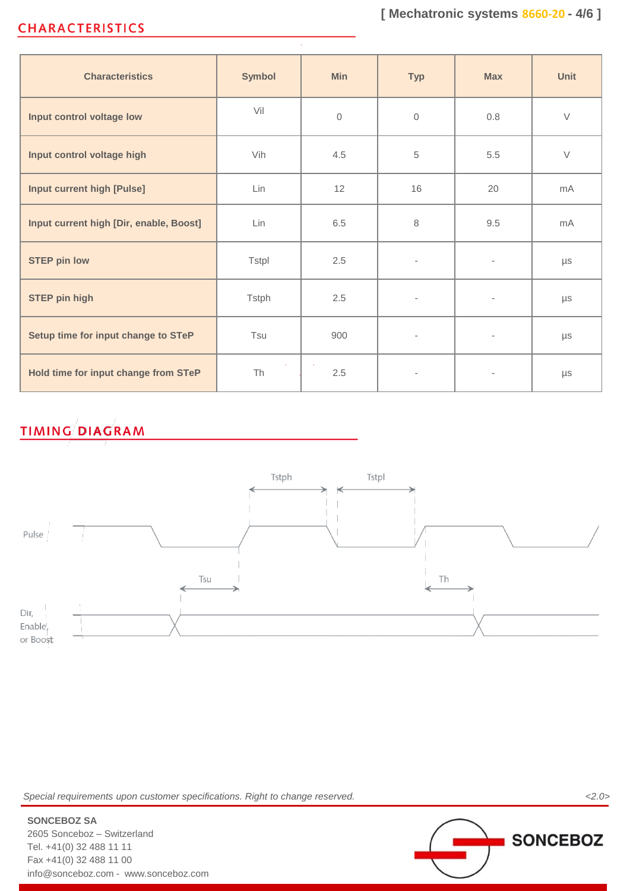# **CHARACTERISTICS**

| <b>Characteristics</b>                  | <b>Symbol</b> | <b>Min</b>     | <b>Typ</b>               | <b>Max</b>               | Unit    |
|-----------------------------------------|---------------|----------------|--------------------------|--------------------------|---------|
| Input control voltage low               | Vil           | $\overline{0}$ | $\mathbf{0}$             | 0.8                      | $\vee$  |
| Input control voltage high              | Vih           | 4.5            | 5                        | 5.5                      | $\vee$  |
| <b>Input current high [Pulse]</b>       | Lin           | 12             | 16                       | 20                       | mA      |
| Input current high [Dir, enable, Boost] | Lin           | 6.5            | 8                        | 9.5                      | mA      |
| <b>STEP pin low</b>                     | <b>Tstpl</b>  | 2.5            | $\overline{\phantom{a}}$ | $\overline{\phantom{a}}$ | μs      |
| <b>STEP pin high</b>                    | <b>Tstph</b>  | 2.5            | $\overline{\phantom{a}}$ | $\overline{\phantom{a}}$ | $\mu s$ |
| Setup time for input change to STeP     | Tsu           | 900            | $\overline{\phantom{a}}$ | $\overline{\phantom{a}}$ | $\mu s$ |
| Hold time for input change from STeP    | <b>Th</b>     | 2.5            | $\overline{\phantom{a}}$ |                          | $\mu s$ |

# **TIMING DIAGRAM**



*Special requirements upon customer specifications. Right to change reserved. <2.0>*

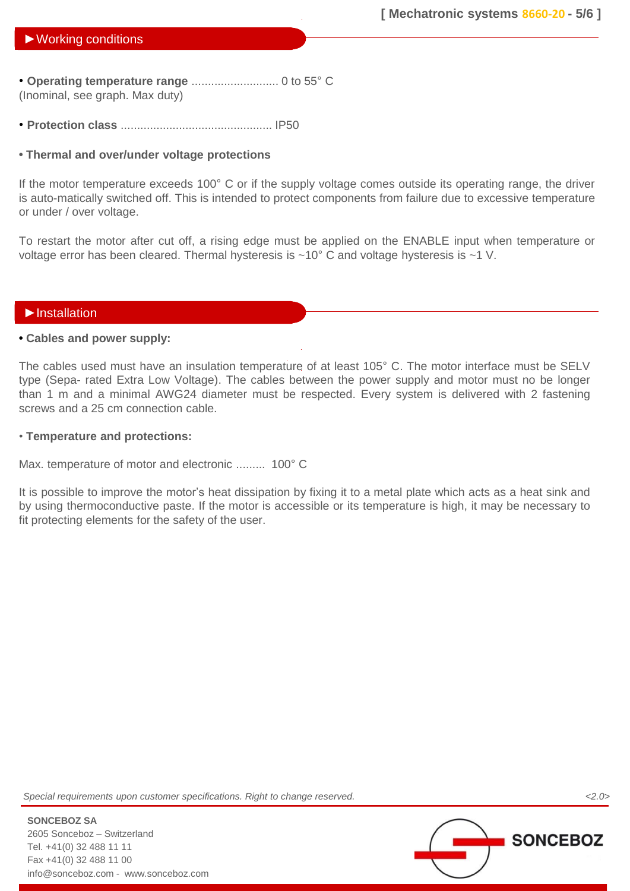### ►Working conditions

• **Operating temperature range** ........................... 0 to 55° C (Inominal, see graph. Max duty)

• **Protection class** ............................................... IP50

### **• Thermal and over/under voltage protections**

If the motor temperature exceeds 100° C or if the supply voltage comes outside its operating range, the driver is auto-matically switched off. This is intended to protect components from failure due to excessive temperature or under / over voltage.

To restart the motor after cut off, a rising edge must be applied on the ENABLE input when temperature or voltage error has been cleared. Thermal hysteresis is ~10° C and voltage hysteresis is ~1 V.

### ►Installation

### **• Cables and power supply:**

The cables used must have an insulation temperature of at least 105° C. The motor interface must be SELV type (Sepa- rated Extra Low Voltage). The cables between the power supply and motor must no be longer than 1 m and a minimal AWG24 diameter must be respected. Every system is delivered with 2 fastening screws and a 25 cm connection cable.

### • **Temperature and protections:**

Max. temperature of motor and electronic ......... 100° C

It is possible to improve the motor's heat dissipation by fixing it to a metal plate which acts as a heat sink and by using thermoconductive paste. If the motor is accessible or its temperature is high, it may be necessary to fit protecting elements for the safety of the user.

*Special requirements upon customer specifications. Right to change reserved. <2.0>*